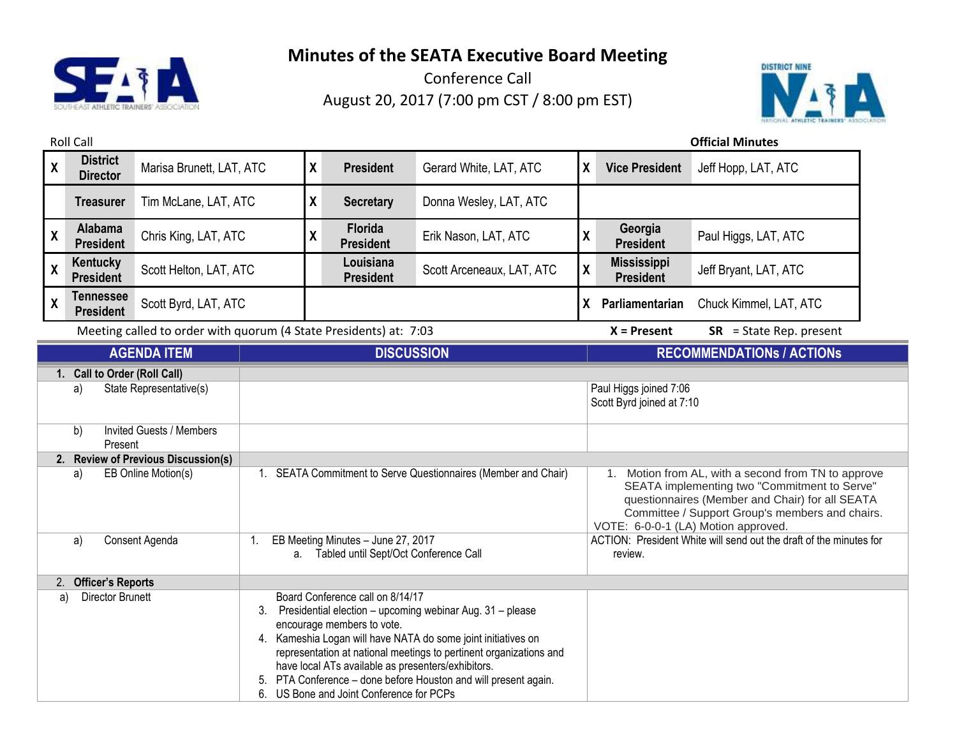

Conference Call August 20, 2017 (7:00 pm CST / 8:00 pm EST)



Roll Call **Official Minutes X District Director** Marisa Brunett, LAT, ATC **<sup>X</sup> President** Gerard White, LAT, ATC **<sup>X</sup> Vice President** Jeff Hopp, LAT, ATC **Treasurer** Tim McLane, LAT, ATC **X Secretary** Donna Wesley, LAT, ATC **X Alabama President** Chris King, LAT, ATC **<sup>X</sup> Florida President** Erik Nason, LAT, ATC **<sup>X</sup> Georgia President** Paul Higgs, LAT, ATC **X Kentucky President** Scott Helton, LAT, ATC **Louisiana President** Scott Arceneaux, LAT, ATC **<sup>X</sup> Mississippi Jeff Bryant, LAT, ATC X Tennessee President** Scott Byrd, LAT, ATC **<sup>X</sup> Parliamentarian** Chuck Kimmel, LAT, ATC Meeting called to order with quorum (4 State Presidents) at: 7:03 **X = Present SR** = State Rep. present **AGENDA ITEM DISCUSSION RECOMMENDATIONs / ACTIONs 1. Call to Order (Roll Call)** a) State Representative(s) State Representative(s) and Discussion Paul Higgs joined 7:06 Scott Byrd joined at 7:10 b) Invited Guests / Members Present **2. Review of Previous Discussion(s)** a) EB Online Motion(s) 1. SEATA Commitment to Serve Questionnaires (Member and Chair) 1. Motion from AL, with a second from TN to approve SEATA implementing two "Commitment to Serve" questionnaires (Member and Chair) for all SEATA Committee / Support Group's members and chairs. VOTE: 6-0-0-1 (LA) Motion approved. a) Consent Agenda 1. EB Meeting Minutes – June 27, 2017 a. Tabled until Sept/Oct Conference Call ACTION: President White will send out the draft of the minutes for review. 2. **Officer's Reports** a) Director Brunett Board Conference call on 8/14/17 3. Presidential election – upcoming webinar Aug. 31 – please encourage members to vote. 4. Kameshia Logan will have NATA do some joint initiatives on representation at national meetings to pertinent organizations and

have local ATs available as presenters/exhibitors.

6. US Bone and Joint Conference for PCPs

5. PTA Conference – done before Houston and will present again.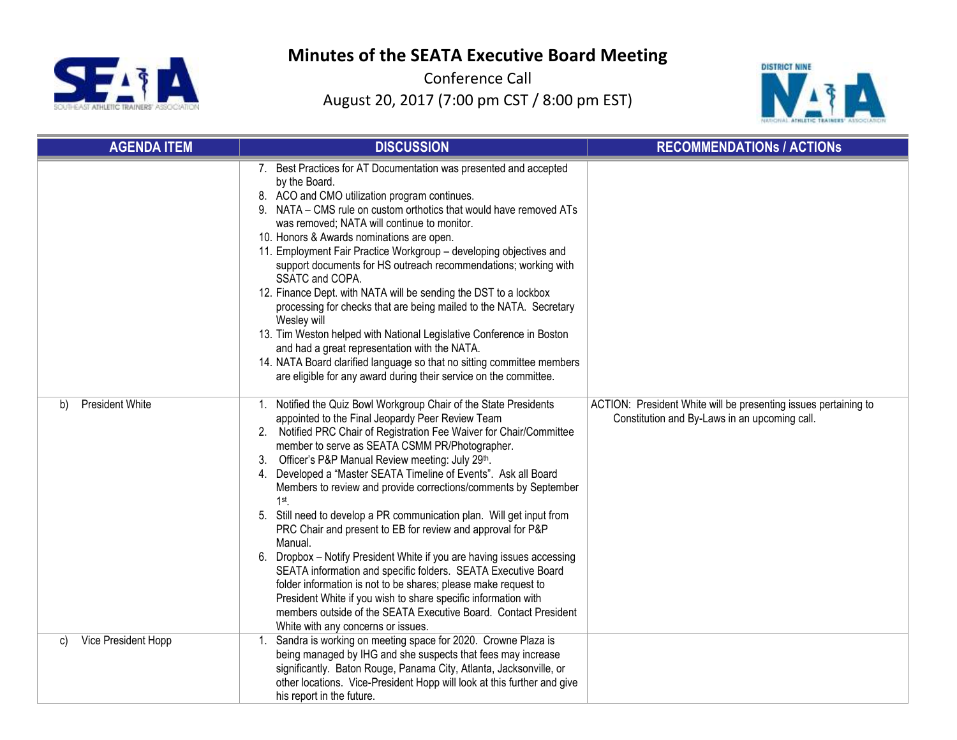

Conference Call August 20, 2017 (7:00 pm CST / 8:00 pm EST)



| <b>AGENDA ITEM</b>           | <b>DISCUSSION</b>                                                                                                                                                                                                                                                                                                                                                                                                                                                                                                                                                                                                                                                                                                                                                                                                                                                                                                                                                                                          | <b>RECOMMENDATIONS / ACTIONS</b>                                                                                 |
|------------------------------|------------------------------------------------------------------------------------------------------------------------------------------------------------------------------------------------------------------------------------------------------------------------------------------------------------------------------------------------------------------------------------------------------------------------------------------------------------------------------------------------------------------------------------------------------------------------------------------------------------------------------------------------------------------------------------------------------------------------------------------------------------------------------------------------------------------------------------------------------------------------------------------------------------------------------------------------------------------------------------------------------------|------------------------------------------------------------------------------------------------------------------|
|                              | 7. Best Practices for AT Documentation was presented and accepted<br>by the Board.<br>8. ACO and CMO utilization program continues.<br>9. NATA – CMS rule on custom orthotics that would have removed ATs<br>was removed; NATA will continue to monitor.<br>10. Honors & Awards nominations are open.<br>11. Employment Fair Practice Workgroup - developing objectives and<br>support documents for HS outreach recommendations; working with<br>SSATC and COPA.<br>12. Finance Dept. with NATA will be sending the DST to a lockbox<br>processing for checks that are being mailed to the NATA. Secretary<br>Wesley will<br>13. Tim Weston helped with National Legislative Conference in Boston<br>and had a great representation with the NATA.<br>14. NATA Board clarified language so that no sitting committee members<br>are eligible for any award during their service on the committee.                                                                                                         |                                                                                                                  |
| <b>President White</b><br>b) | Notified the Quiz Bowl Workgroup Chair of the State Presidents<br>1.<br>appointed to the Final Jeopardy Peer Review Team<br>Notified PRC Chair of Registration Fee Waiver for Chair/Committee<br>2.<br>member to serve as SEATA CSMM PR/Photographer.<br>3. Officer's P&P Manual Review meeting: July 29th.<br>4. Developed a "Master SEATA Timeline of Events". Ask all Board<br>Members to review and provide corrections/comments by September<br>$1st$ .<br>5. Still need to develop a PR communication plan. Will get input from<br>PRC Chair and present to EB for review and approval for P&P<br>Manual.<br>Dropbox - Notify President White if you are having issues accessing<br>6.<br>SEATA information and specific folders. SEATA Executive Board<br>folder information is not to be shares; please make request to<br>President White if you wish to share specific information with<br>members outside of the SEATA Executive Board. Contact President<br>White with any concerns or issues. | ACTION: President White will be presenting issues pertaining to<br>Constitution and By-Laws in an upcoming call. |
| Vice President Hopp<br>C)    | Sandra is working on meeting space for 2020. Crowne Plaza is<br>1.<br>being managed by IHG and she suspects that fees may increase<br>significantly. Baton Rouge, Panama City, Atlanta, Jacksonville, or<br>other locations. Vice-President Hopp will look at this further and give<br>his report in the future.                                                                                                                                                                                                                                                                                                                                                                                                                                                                                                                                                                                                                                                                                           |                                                                                                                  |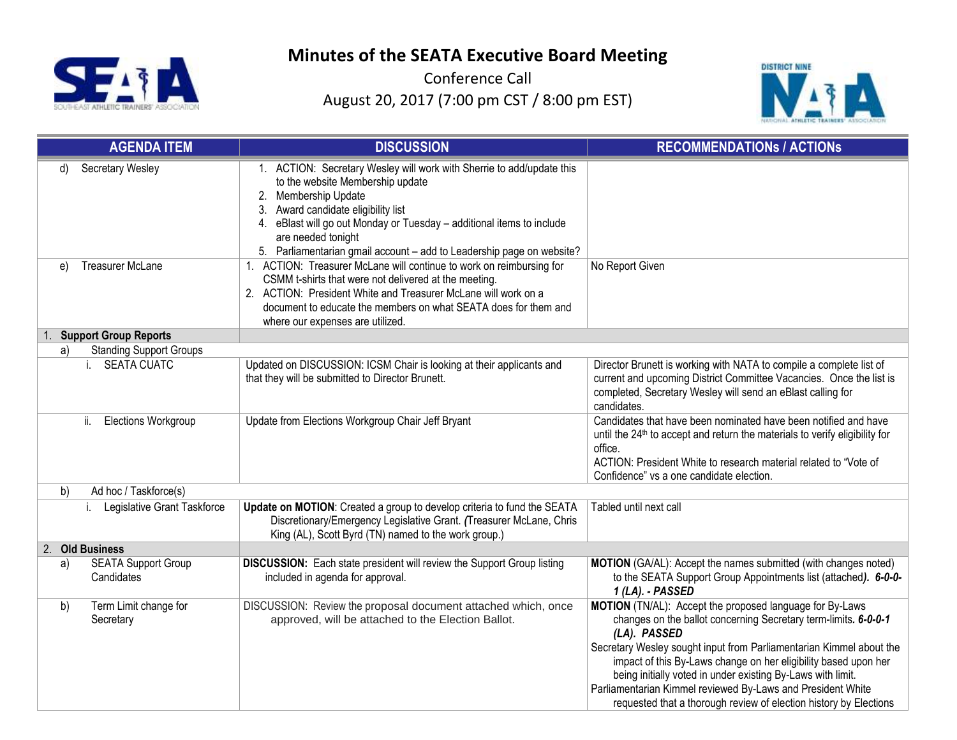

Conference Call August 20, 2017 (7:00 pm CST / 8:00 pm EST)



|    | <b>AGENDA ITEM</b>                       | <b>DISCUSSION</b>                                                                                                                                                                                                                                                                                                                                   | <b>RECOMMENDATIONS / ACTIONS</b>                                                                                                                                                                                                                                                                                                                                                                                                                                                         |
|----|------------------------------------------|-----------------------------------------------------------------------------------------------------------------------------------------------------------------------------------------------------------------------------------------------------------------------------------------------------------------------------------------------------|------------------------------------------------------------------------------------------------------------------------------------------------------------------------------------------------------------------------------------------------------------------------------------------------------------------------------------------------------------------------------------------------------------------------------------------------------------------------------------------|
| d) | Secretary Wesley                         | 1. ACTION: Secretary Wesley will work with Sherrie to add/update this<br>to the website Membership update<br>2. Membership Update<br>Award candidate eligibility list<br>3.<br>4. eBlast will go out Monday or Tuesday - additional items to include<br>are needed tonight<br>5. Parliamentarian gmail account - add to Leadership page on website? |                                                                                                                                                                                                                                                                                                                                                                                                                                                                                          |
| e) | Treasurer McLane                         | 1. ACTION: Treasurer McLane will continue to work on reimbursing for<br>CSMM t-shirts that were not delivered at the meeting.<br>2. ACTION: President White and Treasurer McLane will work on a<br>document to educate the members on what SEATA does for them and<br>where our expenses are utilized.                                              | No Report Given                                                                                                                                                                                                                                                                                                                                                                                                                                                                          |
|    | <b>Support Group Reports</b>             |                                                                                                                                                                                                                                                                                                                                                     |                                                                                                                                                                                                                                                                                                                                                                                                                                                                                          |
| a) | <b>Standing Support Groups</b>           |                                                                                                                                                                                                                                                                                                                                                     |                                                                                                                                                                                                                                                                                                                                                                                                                                                                                          |
|    | <b>SEATA CUATC</b>                       | Updated on DISCUSSION: ICSM Chair is looking at their applicants and<br>that they will be submitted to Director Brunett.                                                                                                                                                                                                                            | Director Brunett is working with NATA to compile a complete list of<br>current and upcoming District Committee Vacancies. Once the list is<br>completed, Secretary Wesley will send an eBlast calling for<br>candidates.                                                                                                                                                                                                                                                                 |
|    | ii.<br><b>Elections Workgroup</b>        | Update from Elections Workgroup Chair Jeff Bryant                                                                                                                                                                                                                                                                                                   | Candidates that have been nominated have been notified and have<br>until the 24 <sup>th</sup> to accept and return the materials to verify eligibility for<br>office.<br>ACTION: President White to research material related to "Vote of<br>Confidence" vs a one candidate election.                                                                                                                                                                                                    |
| b) | Ad hoc / Taskforce(s)                    |                                                                                                                                                                                                                                                                                                                                                     |                                                                                                                                                                                                                                                                                                                                                                                                                                                                                          |
|    | Legislative Grant Taskforce              | Update on MOTION: Created a group to develop criteria to fund the SEATA<br>Discretionary/Emergency Legislative Grant. (Treasurer McLane, Chris<br>King (AL), Scott Byrd (TN) named to the work group.)                                                                                                                                              | Tabled until next call                                                                                                                                                                                                                                                                                                                                                                                                                                                                   |
|    | 2. Old Business                          |                                                                                                                                                                                                                                                                                                                                                     |                                                                                                                                                                                                                                                                                                                                                                                                                                                                                          |
| a) | <b>SEATA Support Group</b><br>Candidates | DISCUSSION: Each state president will review the Support Group listing<br>included in agenda for approval.                                                                                                                                                                                                                                          | MOTION (GA/AL): Accept the names submitted (with changes noted)<br>to the SEATA Support Group Appointments list (attached). 6-0-0-<br>1 (LA). - PASSED                                                                                                                                                                                                                                                                                                                                   |
| b) | Term Limit change for<br>Secretary       | DISCUSSION: Review the proposal document attached which, once<br>approved, will be attached to the Election Ballot.                                                                                                                                                                                                                                 | MOTION (TN/AL): Accept the proposed language for By-Laws<br>changes on the ballot concerning Secretary term-limits. 6-0-0-1<br>(LA). PASSED<br>Secretary Wesley sought input from Parliamentarian Kimmel about the<br>impact of this By-Laws change on her eligibility based upon her<br>being initially voted in under existing By-Laws with limit.<br>Parliamentarian Kimmel reviewed By-Laws and President White<br>requested that a thorough review of election history by Elections |